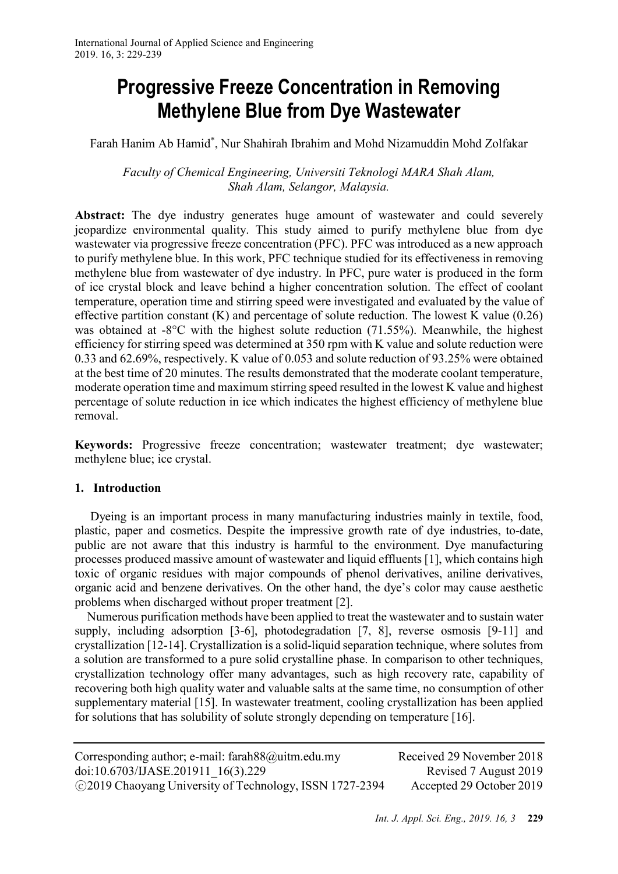# **Progressive Freeze Concentration in Removing Methylene Blue from Dye Wastewater**

Farah Hanim Ab Hamid\* , Nur Shahirah Ibrahim and Mohd Nizamuddin Mohd Zolfakar

*Faculty of Chemical Engineering, Universiti Teknologi MARA Shah Alam, Shah Alam, Selangor, Malaysia.*

**Abstract:** The dye industry generates huge amount of wastewater and could severely jeopardize environmental quality. This study aimed to purify methylene blue from dye wastewater via progressive freeze concentration (PFC). PFC was introduced as a new approach to purify methylene blue. In this work, PFC technique studied for its effectiveness in removing methylene blue from wastewater of dye industry. In PFC, pure water is produced in the form of ice crystal block and leave behind a higher concentration solution. The effect of coolant temperature, operation time and stirring speed were investigated and evaluated by the value of effective partition constant (K) and percentage of solute reduction. The lowest K value (0.26) was obtained at -8°C with the highest solute reduction (71.55%). Meanwhile, the highest efficiency for stirring speed was determined at 350 rpm with K value and solute reduction were 0.33 and 62.69%, respectively. K value of 0.053 and solute reduction of 93.25% were obtained at the best time of 20 minutes. The results demonstrated that the moderate coolant temperature, moderate operation time and maximum stirring speed resulted in the lowest K value and highest percentage of solute reduction in ice which indicates the highest efficiency of methylene blue removal.

**Keywords:** Progressive freeze concentration; wastewater treatment; dye wastewater; methylene blue; ice crystal.

# **1. Introduction**

Dyeing is an important process in many manufacturing industries mainly in textile, food, plastic, paper and cosmetics. Despite the impressive growth rate of dye industries, to-date, public are not aware that this industry is harmful to the environment. Dye manufacturing processes produced massive amount of wastewater and liquid effluents [1], which contains high toxic of organic residues with major compounds of phenol derivatives, aniline derivatives, organic acid and benzene derivatives. On the other hand, the dye's color may cause aesthetic problems when discharged without proper treatment [2].

Numerous purification methods have been applied to treat the wastewater and to sustain water supply, including adsorption [3-6], photodegradation [7, 8], reverse osmosis [9-11] and crystallization [12-14]. Crystallization is a solid-liquid separation technique, where solutes from a solution are transformed to a pure solid crystalline phase. In comparison to other techniques, crystallization technology offer many advantages, such as high recovery rate, capability of recovering both high quality water and valuable salts at the same time, no consumption of other supplementary material [15]. In wastewater treatment, cooling crystallization has been applied for solutions that has solubility of solute strongly depending on temperature [16].

Corresponding author; e-mail: farah88@uitm.edu.my Received 29 November 2018 doi:10.6703/IJASE.201911\_16(3).229 Revised 7 August 2019 ○<sup>C</sup> 2019 Chaoyang University of Technology, ISSN 1727-2394 Accepted 29 October 2019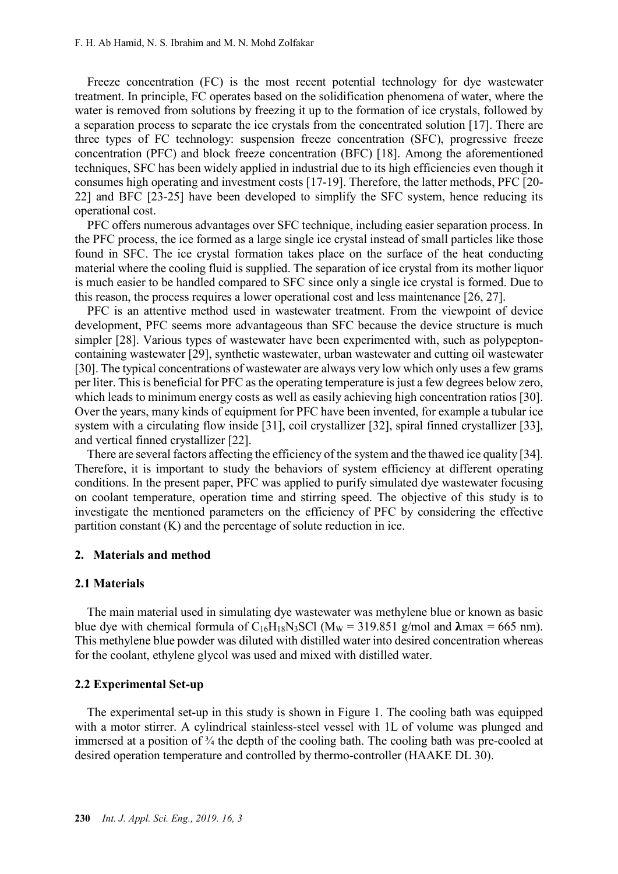Freeze concentration (FC) is the most recent potential technology for dye wastewater treatment. In principle, FC operates based on the solidification phenomena of water, where the water is removed from solutions by freezing it up to the formation of ice crystals, followed by a separation process to separate the ice crystals from the concentrated solution [17]. There are three types of FC technology: suspension freeze concentration (SFC), progressive freeze concentration (PFC) and block freeze concentration (BFC) [18]. Among the aforementioned techniques, SFC has been widely applied in industrial due to its high efficiencies even though it consumes high operating and investment costs [17-19]. Therefore, the latter methods, PFC [20- 22] and BFC [23-25] have been developed to simplify the SFC system, hence reducing its operational cost.

PFC offers numerous advantages over SFC technique, including easier separation process. In the PFC process, the ice formed as a large single ice crystal instead of small particles like those found in SFC. The ice crystal formation takes place on the surface of the heat conducting material where the cooling fluid is supplied. The separation of ice crystal from its mother liquor is much easier to be handled compared to SFC since only a single ice crystal is formed. Due to this reason, the process requires a lower operational cost and less maintenance [26, 27].

PFC is an attentive method used in wastewater treatment. From the viewpoint of device development, PFC seems more advantageous than SFC because the device structure is much simpler [28]. Various types of wastewater have been experimented with, such as polypeptoncontaining wastewater [29], synthetic wastewater, urban wastewater and cutting oil wastewater [30]. The typical concentrations of wastewater are always very low which only uses a few grams per liter. This is beneficial for PFC as the operating temperature is just a few degrees below zero, which leads to minimum energy costs as well as easily achieving high concentration ratios [30]. Over the years, many kinds of equipment for PFC have been invented, for example a tubular ice system with a circulating flow inside [31], coil crystallizer [32], spiral finned crystallizer [33], and vertical finned crystallizer [22].

There are several factors affecting the efficiency of the system and the thawed ice quality [34]. Therefore, it is important to study the behaviors of system efficiency at different operating conditions. In the present paper, PFC was applied to purify simulated dye wastewater focusing on coolant temperature, operation time and stirring speed. The objective of this study is to investigate the mentioned parameters on the efficiency of PFC by considering the effective partition constant (K) and the percentage of solute reduction in ice.

#### **2. Materials and method**

#### **2.1 Materials**

The main material used in simulating dye wastewater was methylene blue or known as basic blue dye with chemical formula of  $C_{16}H_{18}N_3SCl$  (M<sub>W</sub> = 319.851 g/mol and  $\lambda$ max = 665 nm). This methylene blue powder was diluted with distilled water into desired concentration whereas for the coolant, ethylene glycol was used and mixed with distilled water.

#### **2.2 Experimental Set-up**

The experimental set-up in this study is shown in Figure 1. The cooling bath was equipped with a motor stirrer. A cylindrical stainless-steel vessel with 1L of volume was plunged and immersed at a position of  $\frac{3}{4}$  the depth of the cooling bath. The cooling bath was pre-cooled at desired operation temperature and controlled by thermo-controller (HAAKE DL 30).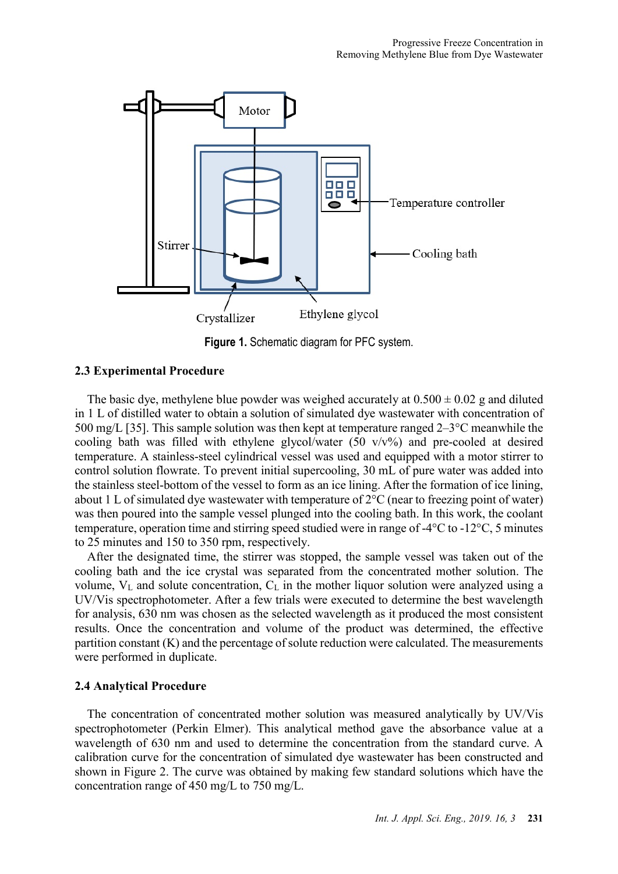

**Figure 1.** Schematic diagram for PFC system.

# **2.3 Experimental Procedure**

The basic dye, methylene blue powder was weighed accurately at  $0.500 \pm 0.02$  g and diluted in 1 L of distilled water to obtain a solution of simulated dye wastewater with concentration of 500 mg/L [35]. This sample solution was then kept at temperature ranged 2–3°C meanwhile the cooling bath was filled with ethylene glycol/water  $(50 \text{ v/v\%})$  and pre-cooled at desired temperature. A stainless-steel cylindrical vessel was used and equipped with a motor stirrer to control solution flowrate. To prevent initial supercooling, 30 mL of pure water was added into the stainless steel-bottom of the vessel to form as an ice lining. After the formation of ice lining, about 1 L of simulated dye wastewater with temperature of 2°C (near to freezing point of water) was then poured into the sample vessel plunged into the cooling bath. In this work, the coolant temperature, operation time and stirring speed studied were in range of -4°C to -12°C, 5 minutes to 25 minutes and 150 to 350 rpm, respectively.

After the designated time, the stirrer was stopped, the sample vessel was taken out of the cooling bath and the ice crystal was separated from the concentrated mother solution. The volume,  $V_L$  and solute concentration,  $C_L$  in the mother liquor solution were analyzed using a UV/Vis spectrophotometer. After a few trials were executed to determine the best wavelength for analysis, 630 nm was chosen as the selected wavelength as it produced the most consistent results. Once the concentration and volume of the product was determined, the effective partition constant (K) and the percentage of solute reduction were calculated. The measurements were performed in duplicate.

# **2.4 Analytical Procedure**

The concentration of concentrated mother solution was measured analytically by UV/Vis spectrophotometer (Perkin Elmer). This analytical method gave the absorbance value at a wavelength of 630 nm and used to determine the concentration from the standard curve. A calibration curve for the concentration of simulated dye wastewater has been constructed and shown in Figure 2. The curve was obtained by making few standard solutions which have the concentration range of 450 mg/L to 750 mg/L.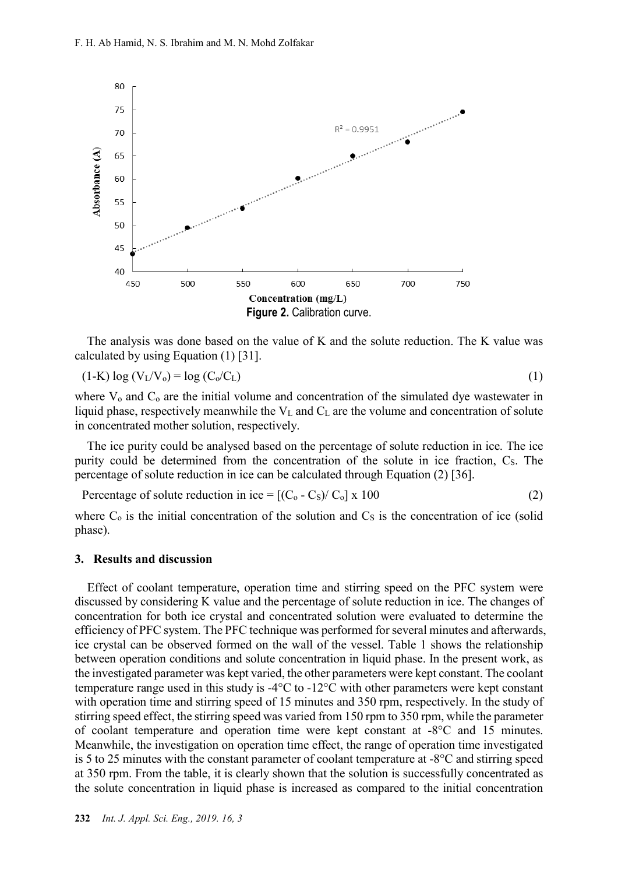

The analysis was done based on the value of K and the solute reduction. The K value was calculated by using Equation (1) [31].

$$
(1-K)\log(V_L/V_o) = \log(C_o/C_L) \tag{1}
$$

where  $V_0$  and  $C_0$  are the initial volume and concentration of the simulated dye wastewater in liquid phase, respectively meanwhile the  $V<sub>L</sub>$  and  $C<sub>L</sub>$  are the volume and concentration of solute in concentrated mother solution, respectively.

The ice purity could be analysed based on the percentage of solute reduction in ice. The ice purity could be determined from the concentration of the solute in ice fraction, C<sub>S</sub>. The percentage of solute reduction in ice can be calculated through Equation (2) [36].

Percentage of solute reduction in ice =  $[(C_0 - C_5)/C_0] \times 100$  (2)

where  $C_0$  is the initial concentration of the solution and  $C<sub>S</sub>$  is the concentration of ice (solid phase).

#### **3. Results and discussion**

Effect of coolant temperature, operation time and stirring speed on the PFC system were discussed by considering K value and the percentage of solute reduction in ice. The changes of concentration for both ice crystal and concentrated solution were evaluated to determine the efficiency of PFC system. The PFC technique was performed for several minutes and afterwards, ice crystal can be observed formed on the wall of the vessel. Table 1 shows the relationship between operation conditions and solute concentration in liquid phase. In the present work, as the investigated parameter was kept varied, the other parameters were kept constant. The coolant temperature range used in this study is  $-4^{\circ}C$  to  $-12^{\circ}C$  with other parameters were kept constant with operation time and stirring speed of 15 minutes and 350 rpm, respectively. In the study of stirring speed effect, the stirring speed was varied from 150 rpm to 350 rpm, while the parameter of coolant temperature and operation time were kept constant at -8°C and 15 minutes. Meanwhile, the investigation on operation time effect, the range of operation time investigated is 5 to 25 minutes with the constant parameter of coolant temperature at  $-8^{\circ}$ C and stirring speed at 350 rpm. From the table, it is clearly shown that the solution is successfully concentrated as the solute concentration in liquid phase is increased as compared to the initial concentration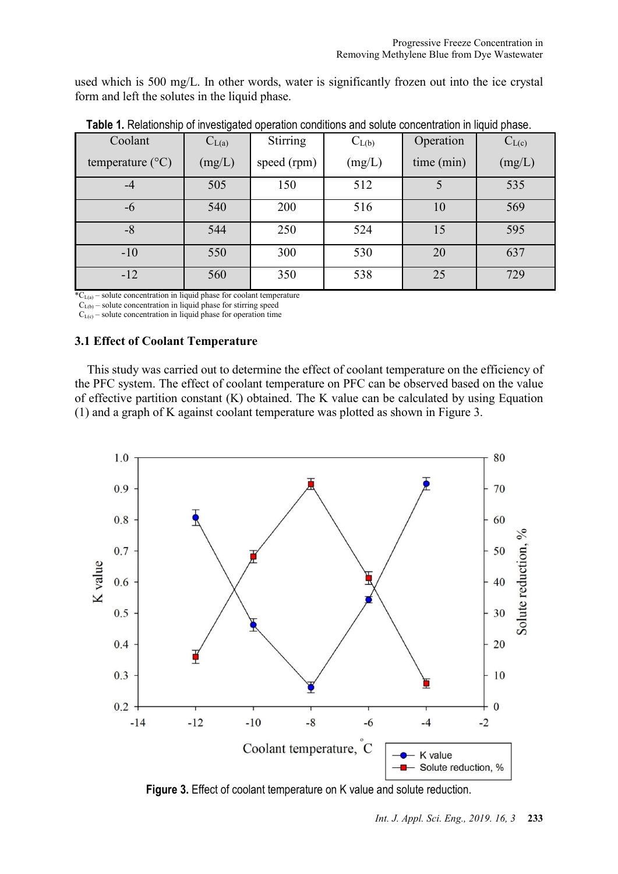used which is 500 mg/L. In other words, water is significantly frozen out into the ice crystal form and left the solutes in the liquid phase.

| Coolant                   | $C_{L(a)}$ | Stirring    | $C_{L(b)}$ | Operation  | $C_{L(c)}$ |
|---------------------------|------------|-------------|------------|------------|------------|
| temperature $(^{\circ}C)$ | (mg/L)     | speed (rpm) | (mg/L)     | time (min) | (mg/L)     |
| -4                        | 505        | 150         | 512        |            | 535        |
| -6                        | 540        | 200         | 516        | 10         | 569        |
| -8                        | 544        | 250         | 524        |            | 595        |
| $-10$                     | 550        | 300         | 530        | 20         | 637        |
| $-12$                     | 560        | 350         | 538        | 25         | 729        |

**Table 1.** Relationship of investigated operation conditions and solute concentration in liquid phase.

 $*C_{L(a)}$  – solute concentration in liquid phase for coolant temperature

 $C_{L(b)}$  – solute concentration in liquid phase for stirring speed

 $C_{L(c)}$  – solute concentration in liquid phase for operation time

# **3.1 Effect of Coolant Temperature**

This study was carried out to determine the effect of coolant temperature on the efficiency of the PFC system. The effect of coolant temperature on PFC can be observed based on the value of effective partition constant (K) obtained. The K value can be calculated by using Equation (1) and a graph of K against coolant temperature was plotted as shown in Figure 3.



**Figure 3.** Effect of coolant temperature on K value and solute reduction.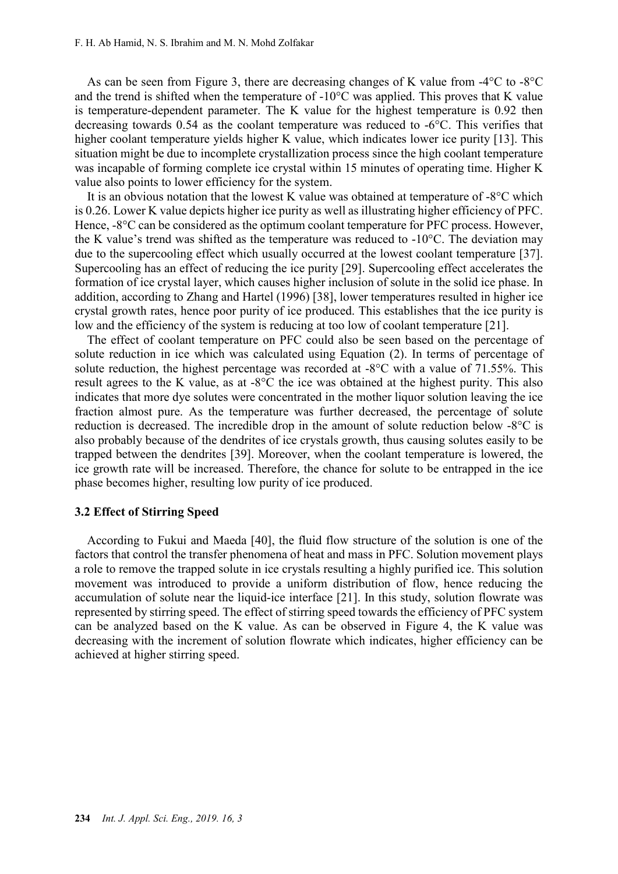As can be seen from Figure 3, there are decreasing changes of K value from -4°C to -8°C and the trend is shifted when the temperature of -10°C was applied. This proves that K value is temperature-dependent parameter. The K value for the highest temperature is 0.92 then decreasing towards 0.54 as the coolant temperature was reduced to -6°C. This verifies that higher coolant temperature yields higher K value, which indicates lower ice purity [13]. This situation might be due to incomplete crystallization process since the high coolant temperature was incapable of forming complete ice crystal within 15 minutes of operating time. Higher K value also points to lower efficiency for the system.

It is an obvious notation that the lowest K value was obtained at temperature of -8°C which is 0.26. Lower K value depicts higher ice purity as well as illustrating higher efficiency of PFC. Hence, -8°C can be considered as the optimum coolant temperature for PFC process. However, the K value's trend was shifted as the temperature was reduced to -10°C. The deviation may due to the supercooling effect which usually occurred at the lowest coolant temperature [37]. Supercooling has an effect of reducing the ice purity [29]. Supercooling effect accelerates the formation of ice crystal layer, which causes higher inclusion of solute in the solid ice phase. In addition, according to Zhang and Hartel (1996) [38], lower temperatures resulted in higher ice crystal growth rates, hence poor purity of ice produced. This establishes that the ice purity is low and the efficiency of the system is reducing at too low of coolant temperature [21].

The effect of coolant temperature on PFC could also be seen based on the percentage of solute reduction in ice which was calculated using Equation (2). In terms of percentage of solute reduction, the highest percentage was recorded at -8°C with a value of 71.55%. This result agrees to the K value, as at -8°C the ice was obtained at the highest purity. This also indicates that more dye solutes were concentrated in the mother liquor solution leaving the ice fraction almost pure. As the temperature was further decreased, the percentage of solute reduction is decreased. The incredible drop in the amount of solute reduction below -8°C is also probably because of the dendrites of ice crystals growth, thus causing solutes easily to be trapped between the dendrites [39]. Moreover, when the coolant temperature is lowered, the ice growth rate will be increased. Therefore, the chance for solute to be entrapped in the ice phase becomes higher, resulting low purity of ice produced.

#### **3.2 Effect of Stirring Speed**

According to Fukui and Maeda [40], the fluid flow structure of the solution is one of the factors that control the transfer phenomena of heat and mass in PFC. Solution movement plays a role to remove the trapped solute in ice crystals resulting a highly purified ice. This solution movement was introduced to provide a uniform distribution of flow, hence reducing the accumulation of solute near the liquid-ice interface [21]. In this study, solution flowrate was represented by stirring speed. The effect of stirring speed towards the efficiency of PFC system can be analyzed based on the K value. As can be observed in Figure 4, the K value was decreasing with the increment of solution flowrate which indicates, higher efficiency can be achieved at higher stirring speed.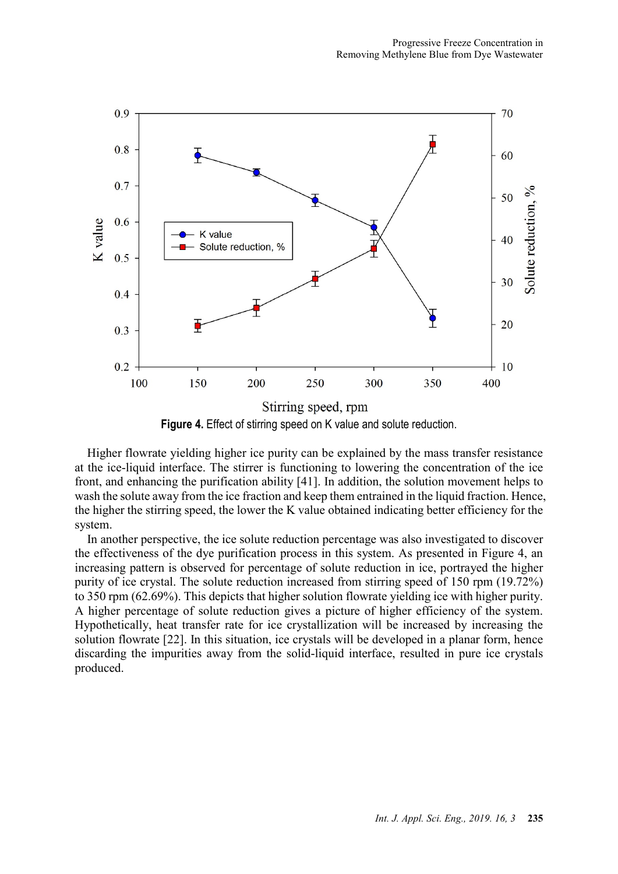

Higher flowrate yielding higher ice purity can be explained by the mass transfer resistance at the ice-liquid interface. The stirrer is functioning to lowering the concentration of the ice front, and enhancing the purification ability [41]. In addition, the solution movement helps to wash the solute away from the ice fraction and keep them entrained in the liquid fraction. Hence, the higher the stirring speed, the lower the K value obtained indicating better efficiency for the system.

In another perspective, the ice solute reduction percentage was also investigated to discover the effectiveness of the dye purification process in this system. As presented in Figure 4, an increasing pattern is observed for percentage of solute reduction in ice, portrayed the higher purity of ice crystal. The solute reduction increased from stirring speed of 150 rpm (19.72%) to 350 rpm (62.69%). This depicts that higher solution flowrate yielding ice with higher purity. A higher percentage of solute reduction gives a picture of higher efficiency of the system. Hypothetically, heat transfer rate for ice crystallization will be increased by increasing the solution flowrate [22]. In this situation, ice crystals will be developed in a planar form, hence discarding the impurities away from the solid-liquid interface, resulted in pure ice crystals produced.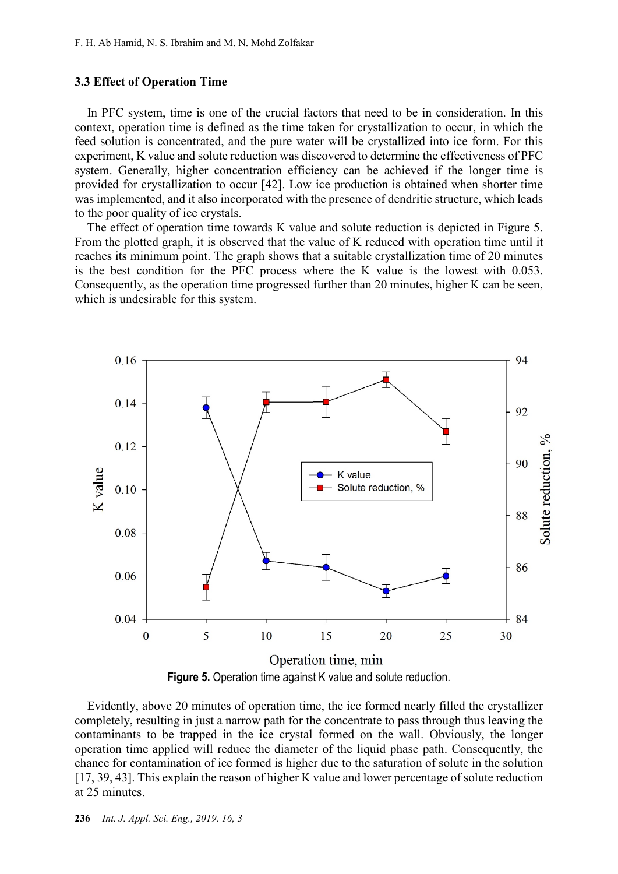### **3.3 Effect of Operation Time**

In PFC system, time is one of the crucial factors that need to be in consideration. In this context, operation time is defined as the time taken for crystallization to occur, in which the feed solution is concentrated, and the pure water will be crystallized into ice form. For this experiment, K value and solute reduction was discovered to determine the effectiveness of PFC system. Generally, higher concentration efficiency can be achieved if the longer time is provided for crystallization to occur [42]. Low ice production is obtained when shorter time was implemented, and it also incorporated with the presence of dendritic structure, which leads to the poor quality of ice crystals.

The effect of operation time towards K value and solute reduction is depicted in Figure 5. From the plotted graph, it is observed that the value of K reduced with operation time until it reaches its minimum point. The graph shows that a suitable crystallization time of 20 minutes is the best condition for the PFC process where the K value is the lowest with 0.053. Consequently, as the operation time progressed further than 20 minutes, higher K can be seen, which is undesirable for this system.



**Figure 5.** Operation time against K value and solute reduction.

Evidently, above 20 minutes of operation time, the ice formed nearly filled the crystallizer completely, resulting in just a narrow path for the concentrate to pass through thus leaving the contaminants to be trapped in the ice crystal formed on the wall. Obviously, the longer operation time applied will reduce the diameter of the liquid phase path. Consequently, the chance for contamination of ice formed is higher due to the saturation of solute in the solution [17, 39, 43]. This explain the reason of higher K value and lower percentage of solute reduction at 25 minutes.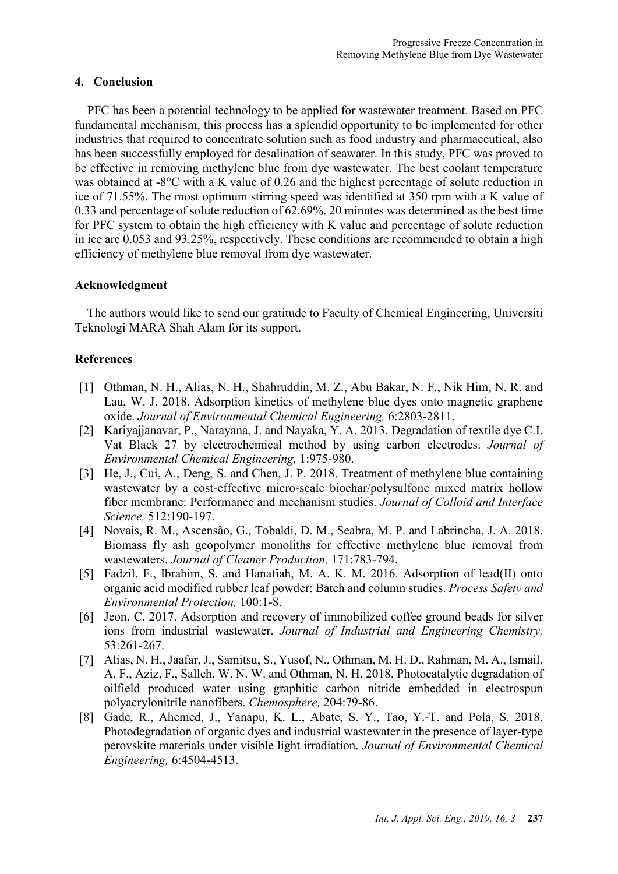# **4. Conclusion**

PFC has been a potential technology to be applied for wastewater treatment. Based on PFC fundamental mechanism, this process has a splendid opportunity to be implemented for other industries that required to concentrate solution such as food industry and pharmaceutical, also has been successfully employed for desalination of seawater. In this study, PFC was proved to be effective in removing methylene blue from dye wastewater. The best coolant temperature was obtained at -8°C with a K value of 0.26 and the highest percentage of solute reduction in ice of 71.55%. The most optimum stirring speed was identified at 350 rpm with a K value of 0.33 and percentage of solute reduction of 62.69%. 20 minutes was determined as the best time for PFC system to obtain the high efficiency with K value and percentage of solute reduction in ice are 0.053 and 93.25%, respectively. These conditions are recommended to obtain a high efficiency of methylene blue removal from dye wastewater.

# **Acknowledgment**

The authors would like to send our gratitude to Faculty of Chemical Engineering, Universiti Teknologi MARA Shah Alam for its support.

# **References**

- [1] Othman, N. H., Alias, N. H., Shahruddin, M. Z., Abu Bakar, N. F., Nik Him, N. R. and Lau, W. J. 2018. Adsorption kinetics of methylene blue dyes onto magnetic graphene oxide. *Journal of Environmental Chemical Engineering,* 6:2803-2811.
- [2] Kariyajjanavar, P., Narayana, J. and Nayaka, Y. A. 2013. Degradation of textile dye C.I. Vat Black 27 by electrochemical method by using carbon electrodes. *Journal of Environmental Chemical Engineering,* 1:975-980.
- [3] He, J., Cui, A., Deng, S. and Chen, J. P. 2018. Treatment of methylene blue containing wastewater by a cost-effective micro-scale biochar/polysulfone mixed matrix hollow fiber membrane: Performance and mechanism studies. *Journal of Colloid and Interface Science,* 512:190-197.
- [4] Novais, R. M., Ascensão, G., Tobaldi, D. M., Seabra, M. P. and Labrincha, J. A. 2018. Biomass fly ash geopolymer monoliths for effective methylene blue removal from wastewaters. *Journal of Cleaner Production,* 171:783-794.
- [5] Fadzil, F., Ibrahim, S. and Hanafiah, M. A. K. M. 2016. Adsorption of lead(II) onto organic acid modified rubber leaf powder: Batch and column studies. *Process Safety and Environmental Protection,* 100:1-8.
- [6] Jeon, C. 2017. Adsorption and recovery of immobilized coffee ground beads for silver ions from industrial wastewater. *Journal of Industrial and Engineering Chemistry,* 53:261-267.
- [7] Alias, N. H., Jaafar, J., Samitsu, S., Yusof, N., Othman, M. H. D., Rahman, M. A., Ismail, A. F., Aziz, F., Salleh, W. N. W. and Othman, N. H. 2018. Photocatalytic degradation of oilfield produced water using graphitic carbon nitride embedded in electrospun polyacrylonitrile nanofibers. *Chemosphere,* 204:79-86.
- [8] Gade, R., Ahemed, J., Yanapu, K. L., Abate, S. Y., Tao, Y.-T. and Pola, S. 2018. Photodegradation of organic dyes and industrial wastewater in the presence of layer-type perovskite materials under visible light irradiation. *Journal of Environmental Chemical Engineering,* 6:4504-4513.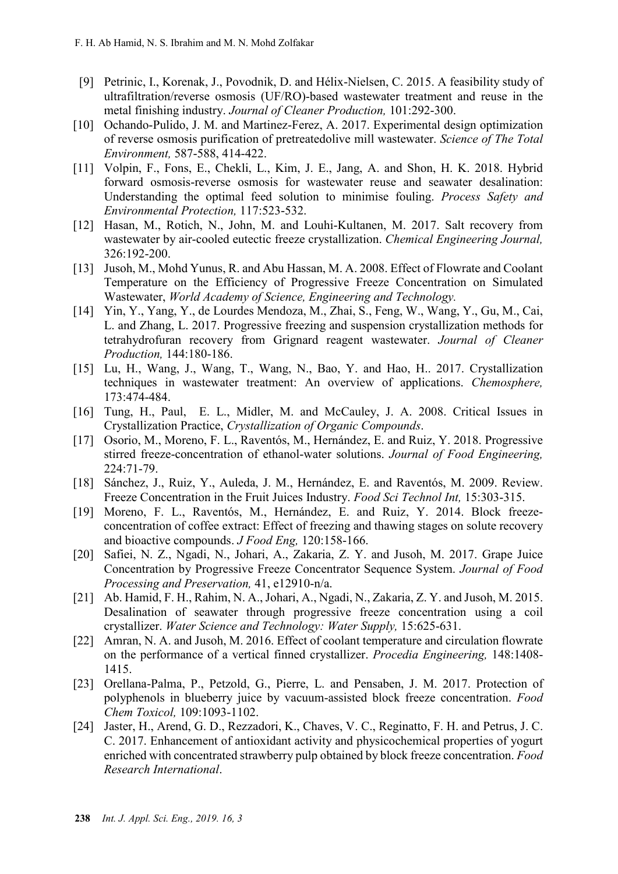- [9] Petrinic, I., Korenak, J., Povodnik, D. and Hélix-Nielsen, C. 2015. A feasibility study of ultrafiltration/reverse osmosis (UF/RO)-based wastewater treatment and reuse in the metal finishing industry. *Journal of Cleaner Production,* 101:292-300.
- [10] Ochando-Pulido, J. M. and Martinez-Ferez, A. 2017. Experimental design optimization of reverse osmosis purification of pretreatedolive mill wastewater. *Science of The Total Environment,* 587-588, 414-422.
- [11] Volpin, F., Fons, E., Chekli, L., Kim, J. E., Jang, A. and Shon, H. K. 2018. Hybrid forward osmosis-reverse osmosis for wastewater reuse and seawater desalination: Understanding the optimal feed solution to minimise fouling. *Process Safety and Environmental Protection,* 117:523-532.
- [12] Hasan, M., Rotich, N., John, M. and Louhi-Kultanen, M. 2017. Salt recovery from wastewater by air-cooled eutectic freeze crystallization. *Chemical Engineering Journal,* 326:192-200.
- [13] Jusoh, M., Mohd Yunus, R. and Abu Hassan, M. A. 2008. Effect of Flowrate and Coolant Temperature on the Efficiency of Progressive Freeze Concentration on Simulated Wastewater, *World Academy of Science, Engineering and Technology.*
- [14] Yin, Y., Yang, Y., de Lourdes Mendoza, M., Zhai, S., Feng, W., Wang, Y., Gu, M., Cai, L. and Zhang, L. 2017. Progressive freezing and suspension crystallization methods for tetrahydrofuran recovery from Grignard reagent wastewater. *Journal of Cleaner Production,* 144:180-186.
- [15] Lu, H., Wang, J., Wang, T., Wang, N., Bao, Y. and Hao, H.. 2017. Crystallization techniques in wastewater treatment: An overview of applications. *Chemosphere,* 173:474-484.
- [16] Tung, H., Paul, E. L., Midler, M. and McCauley, J. A. 2008. Critical Issues in Crystallization Practice, *Crystallization of Organic Compounds*.
- [17] Osorio, M., Moreno, F. L., Raventós, M., Hernández, E. and Ruiz, Y. 2018. Progressive stirred freeze-concentration of ethanol-water solutions. *Journal of Food Engineering,* 224:71-79.
- [18] Sánchez, J., Ruiz, Y., Auleda, J. M., Hernández, E. and Raventós, M. 2009. Review. Freeze Concentration in the Fruit Juices Industry. *Food Sci Technol Int,* 15:303-315.
- [19] Moreno, F. L., Raventós, M., Hernández, E. and Ruiz, Y. 2014. Block freezeconcentration of coffee extract: Effect of freezing and thawing stages on solute recovery and bioactive compounds. *J Food Eng,* 120:158-166.
- [20] Safiei, N. Z., Ngadi, N., Johari, A., Zakaria, Z. Y. and Jusoh, M. 2017. Grape Juice Concentration by Progressive Freeze Concentrator Sequence System. *Journal of Food Processing and Preservation,* 41, e12910-n/a.
- [21] Ab. Hamid, F. H., Rahim, N. A., Johari, A., Ngadi, N., Zakaria, Z. Y. and Jusoh, M. 2015. Desalination of seawater through progressive freeze concentration using a coil crystallizer. *Water Science and Technology: Water Supply,* 15:625-631.
- [22] Amran, N. A. and Jusoh, M. 2016. Effect of coolant temperature and circulation flowrate on the performance of a vertical finned crystallizer. *Procedia Engineering,* 148:1408- 1415.
- [23] Orellana-Palma, P., Petzold, G., Pierre, L. and Pensaben, J. M. 2017. Protection of polyphenols in blueberry juice by vacuum-assisted block freeze concentration. *Food Chem Toxicol,* 109:1093-1102.
- [24] Jaster, H., Arend, G. D., Rezzadori, K., Chaves, V. C., Reginatto, F. H. and Petrus, J. C. C. 2017. Enhancement of antioxidant activity and physicochemical properties of yogurt enriched with concentrated strawberry pulp obtained by block freeze concentration. *Food Research International*.